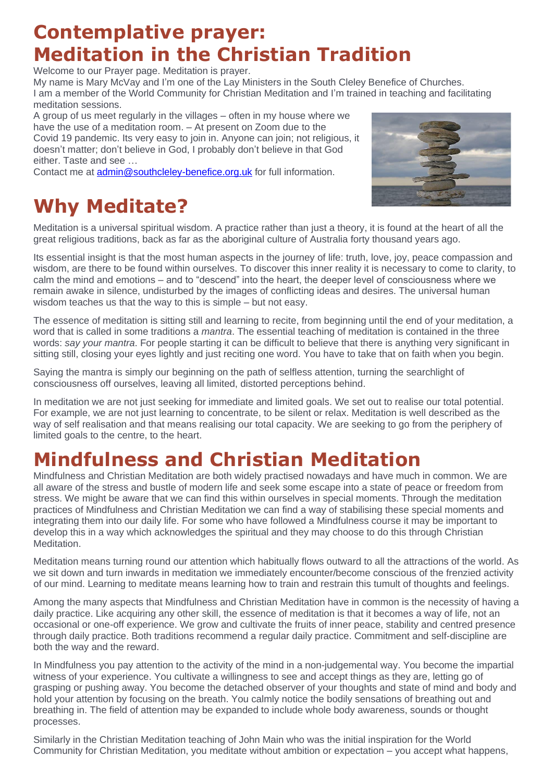## **Contemplative prayer: Meditation in the Christian Tradition**

Welcome to our Prayer page. Meditation is prayer.

My name is Mary McVay and I'm one of the Lay Ministers in the South Cleley Benefice of Churches. I am a member of the World Community for Christian Meditation and I'm trained in teaching and facilitating meditation sessions.

A group of us meet regularly in the villages – often in my house where we have the use of a meditation room. – At present on Zoom due to the Covid 19 pandemic. Its very easy to join in. Anyone can join; not religious, it doesn't matter; don't believe in God, I probably don't believe in that God either. Taste and see …

Contact me at [admin@southcleley-benefice.org.uk](mailto:admin@southcleley-benefice.org.uk) for full information.

## **Why Meditate?**

Meditation is a universal spiritual wisdom. A practice rather than just a theory, it is found at the heart of all the great religious traditions, back as far as the aboriginal culture of Australia forty thousand years ago.

Its essential insight is that the most human aspects in the journey of life: truth, love, joy, peace compassion and wisdom, are there to be found within ourselves. To discover this inner reality it is necessary to come to clarity, to calm the mind and emotions – and to "descend" into the heart, the deeper level of consciousness where we remain awake in silence, undisturbed by the images of conflicting ideas and desires. The universal human wisdom teaches us that the way to this is simple – but not easy.

The essence of meditation is sitting still and learning to recite, from beginning until the end of your meditation, a word that is called in some traditions a *mantra*. The essential teaching of meditation is contained in the three words: *say your mantra*. For people starting it can be difficult to believe that there is anything very significant in sitting still, closing your eyes lightly and just reciting one word. You have to take that on faith when you begin.

Saying the mantra is simply our beginning on the path of selfless attention, turning the searchlight of consciousness off ourselves, leaving all limited, distorted perceptions behind.

In meditation we are not just seeking for immediate and limited goals. We set out to realise our total potential. For example, we are not just learning to concentrate, to be silent or relax. Meditation is well described as the way of self realisation and that means realising our total capacity. We are seeking to go from the periphery of limited goals to the centre, to the heart.

## **Mindfulness and Christian Meditation**

Mindfulness and Christian Meditation are both widely practised nowadays and have much in common. We are all aware of the stress and bustle of modern life and seek some escape into a state of peace or freedom from stress. We might be aware that we can find this within ourselves in special moments. Through the meditation practices of Mindfulness and Christian Meditation we can find a way of stabilising these special moments and integrating them into our daily life. For some who have followed a Mindfulness course it may be important to develop this in a way which acknowledges the spiritual and they may choose to do this through Christian Meditation.

Meditation means turning round our attention which habitually flows outward to all the attractions of the world. As we sit down and turn inwards in meditation we immediately encounter/become conscious of the frenzied activity of our mind. Learning to meditate means learning how to train and restrain this tumult of thoughts and feelings.

Among the many aspects that Mindfulness and Christian Meditation have in common is the necessity of having a daily practice. Like acquiring any other skill, the essence of meditation is that it becomes a way of life, not an occasional or one-off experience. We grow and cultivate the fruits of inner peace, stability and centred presence through daily practice. Both traditions recommend a regular daily practice. Commitment and self-discipline are both the way and the reward.

In Mindfulness you pay attention to the activity of the mind in a non-judgemental way. You become the impartial witness of your experience. You cultivate a willingness to see and accept things as they are, letting go of grasping or pushing away. You become the detached observer of your thoughts and state of mind and body and hold your attention by focusing on the breath. You calmly notice the bodily sensations of breathing out and breathing in. The field of attention may be expanded to include whole body awareness, sounds or thought processes.

Similarly in the Christian Meditation teaching of John Main who was the initial inspiration for the World Community for Christian Meditation, you meditate without ambition or expectation – you accept what happens,